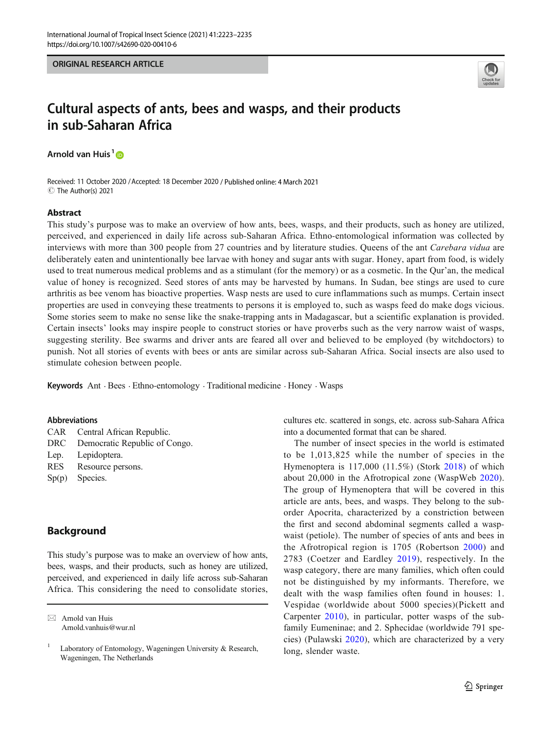

# Cultural aspects of ants, bees and wasps, and their products in sub-Saharan Africa

Arnold van Huis<sup>1</sup>

Received: 11 October 2020 /Accepted: 18 December 2020 / Published online: 4 March 2021 C The Author(s) 2021

## Abstract

This study's purpose was to make an overview of how ants, bees, wasps, and their products, such as honey are utilized, perceived, and experienced in daily life across sub-Saharan Africa. Ethno-entomological information was collected by interviews with more than 300 people from 27 countries and by literature studies. Queens of the ant Carebara vidua are deliberately eaten and unintentionally bee larvae with honey and sugar ants with sugar. Honey, apart from food, is widely used to treat numerous medical problems and as a stimulant (for the memory) or as a cosmetic. In the Qur'an, the medical value of honey is recognized. Seed stores of ants may be harvested by humans. In Sudan, bee stings are used to cure arthritis as bee venom has bioactive properties. Wasp nests are used to cure inflammations such as mumps. Certain insect properties are used in conveying these treatments to persons it is employed to, such as wasps feed do make dogs vicious. Some stories seem to make no sense like the snake-trapping ants in Madagascar, but a scientific explanation is provided. Certain insects' looks may inspire people to construct stories or have proverbs such as the very narrow waist of wasps, suggesting sterility. Bee swarms and driver ants are feared all over and believed to be employed (by witchdoctors) to punish. Not all stories of events with bees or ants are similar across sub-Saharan Africa. Social insects are also used to stimulate cohesion between people.

Keywords Ant . Bees . Ethno-entomology . Traditional medicine . Honey . Wasps

## Abbreviations

|      | CAR Central African Republic.     |
|------|-----------------------------------|
|      | DRC Democratic Republic of Congo. |
| Lep. | Lepidoptera.                      |
| RES  | Resource persons.                 |

- 
- Sp(p) Species.

# Background

This study's purpose was to make an overview of how ants, bees, wasps, and their products, such as honey are utilized, perceived, and experienced in daily life across sub-Saharan Africa. This considering the need to consolidate stories,

cultures etc. scattered in songs, etc. across sub-Sahara Africa into a documented format that can be shared.

The number of insect species in the world is estimated to be 1,013,825 while the number of species in the Hymenoptera is 117,000 (11.5%) (Stork [2018\)](#page-12-0) of which about 20,000 in the Afrotropical zone (WaspWeb [2020](#page-12-0)). The group of Hymenoptera that will be covered in this article are ants, bees, and wasps. They belong to the suborder Apocrita, characterized by a constriction between the first and second abdominal segments called a waspwaist (petiole). The number of species of ants and bees in the Afrotropical region is 1705 (Robertson [2000](#page-11-0)) and 2783 (Coetzer and Eardley [2019\)](#page-10-0), respectively. In the wasp category, there are many families, which often could not be distinguished by my informants. Therefore, we dealt with the wasp families often found in houses: 1. Vespidae (worldwide about 5000 species)(Pickett and Carpenter [2010\)](#page-11-0), in particular, potter wasps of the subfamily Eumeninae; and 2. Sphecidae (worldwide 791 species) (Pulawski [2020](#page-11-0)), which are characterized by a very long, slender waste.

 $\boxtimes$  Arnold van Huis [Arnold.vanhuis@wur.nl](mailto:Arnold.vanhuis@wur.nl)

<sup>&</sup>lt;sup>1</sup> Laboratory of Entomology, Wageningen University  $\&$  Research, Wageningen, The Netherlands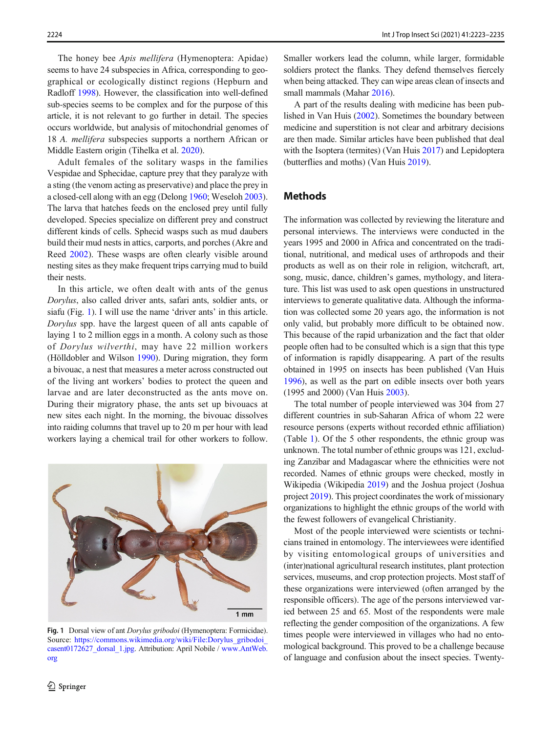The honey bee Apis mellifera (Hymenoptera: Apidae) seems to have 24 subspecies in Africa, corresponding to geographical or ecologically distinct regions (Hepburn and Radloff [1998](#page-11-0)). However, the classification into well-defined sub-species seems to be complex and for the purpose of this article, it is not relevant to go further in detail. The species occurs worldwide, but analysis of mitochondrial genomes of 18 A. mellifera subspecies supports a northern African or Middle Eastern origin (Tihelka et al. [2020](#page-12-0)).

Adult females of the solitary wasps in the families Vespidae and Sphecidae, capture prey that they paralyze with a sting (the venom acting as preservative) and place the prey in a closed-cell along with an egg (Delong [1960;](#page-10-0) Weseloh [2003\)](#page-12-0). The larva that hatches feeds on the enclosed prey until fully developed. Species specialize on different prey and construct different kinds of cells. Sphecid wasps such as mud daubers build their mud nests in attics, carports, and porches (Akre and Reed [2002](#page-10-0)). These wasps are often clearly visible around nesting sites as they make frequent trips carrying mud to build their nests.

In this article, we often dealt with ants of the genus Dorylus, also called driver ants, safari ants, soldier ants, or siafu (Fig. 1). I will use the name 'driver ants' in this article. Dorylus spp. have the largest queen of all ants capable of laying 1 to 2 million eggs in a month. A colony such as those of Dorylus wilverthi, may have 22 million workers (Hölldobler and Wilson [1990\)](#page-11-0). During migration, they form a bivouac, a nest that measures a meter across constructed out of the living ant workers' bodies to protect the queen and larvae and are later deconstructed as the ants move on. During their migratory phase, the ants set up bivouacs at new sites each night. In the morning, the bivouac dissolves into raiding columns that travel up to 20 m per hour with lead workers laying a chemical trail for other workers to follow.



Fig. 1 Dorsal view of ant *Dorylus gribodoi* (Hymenoptera: Formicidae). Source: [https://commons.wikimedia.org/wiki/File:Dorylus\\_gribodoi\\_](https://commons.wikimedia.org/wiki/File:Dorylus_gribodoi_casent0172627_dorsal_1.jpg) [casent0172627\\_dorsal\\_1.jpg](https://commons.wikimedia.org/wiki/File:Dorylus_gribodoi_casent0172627_dorsal_1.jpg). Attribution: April Nobile / [www.AntWeb.](http://www.antweb.org) [org](http://www.antweb.org)

Smaller workers lead the column, while larger, formidable soldiers protect the flanks. They defend themselves fiercely when being attacked. They can wipe areas clean of insects and small mammals (Mahar [2016\)](#page-11-0).

A part of the results dealing with medicine has been published in Van Huis ([2002](#page-12-0)). Sometimes the boundary between medicine and superstition is not clear and arbitrary decisions are then made. Similar articles have been published that deal with the Isoptera (termites) (Van Huis [2017](#page-12-0)) and Lepidoptera (butterflies and moths) (Van Huis [2019\)](#page-12-0).

# Methods

The information was collected by reviewing the literature and personal interviews. The interviews were conducted in the years 1995 and 2000 in Africa and concentrated on the traditional, nutritional, and medical uses of arthropods and their products as well as on their role in religion, witchcraft, art, song, music, dance, children's games, mythology, and literature. This list was used to ask open questions in unstructured interviews to generate qualitative data. Although the information was collected some 20 years ago, the information is not only valid, but probably more difficult to be obtained now. This because of the rapid urbanization and the fact that older people often had to be consulted which is a sign that this type of information is rapidly disappearing. A part of the results obtained in 1995 on insects has been published (Van Huis [1996\)](#page-12-0), as well as the part on edible insects over both years (1995 and 2000) (Van Huis [2003](#page-12-0)).

The total number of people interviewed was 304 from 27 different countries in sub-Saharan Africa of whom 22 were resource persons (experts without recorded ethnic affiliation) (Table [1\)](#page-2-0). Of the 5 other respondents, the ethnic group was unknown. The total number of ethnic groups was 121, excluding Zanzibar and Madagascar where the ethnicities were not recorded. Names of ethnic groups were checked, mostly in Wikipedia (Wikipedia [2019\)](#page-12-0) and the Joshua project (Joshua project [2019](#page-11-0)). This project coordinates the work of missionary organizations to highlight the ethnic groups of the world with the fewest followers of evangelical Christianity.

Most of the people interviewed were scientists or technicians trained in entomology. The interviewees were identified by visiting entomological groups of universities and (inter)national agricultural research institutes, plant protection services, museums, and crop protection projects. Most staff of these organizations were interviewed (often arranged by the responsible officers). The age of the persons interviewed varied between 25 and 65. Most of the respondents were male reflecting the gender composition of the organizations. A few times people were interviewed in villages who had no entomological background. This proved to be a challenge because of language and confusion about the insect species. Twenty-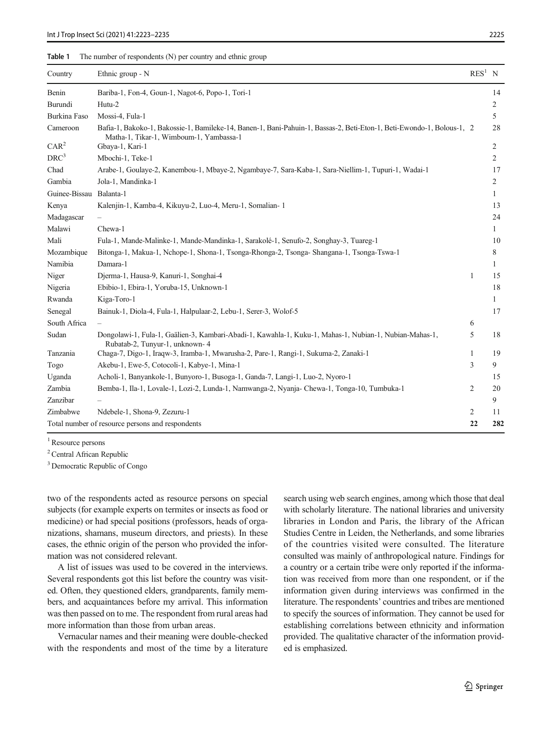## <span id="page-2-0"></span>Table 1 The number of respondents (N) per country and ethnic group

| Country                                          | Ethnic group - N                                                                                                                                                 | $RES1$ N |                |
|--------------------------------------------------|------------------------------------------------------------------------------------------------------------------------------------------------------------------|----------|----------------|
| Benin                                            | Bariba-1, Fon-4, Goun-1, Nagot-6, Popo-1, Tori-1                                                                                                                 |          | 14             |
| Burundi                                          | Hutu-2                                                                                                                                                           |          | 2              |
| <b>Burkina Faso</b>                              | Mossi-4, Fula-1                                                                                                                                                  |          | 5              |
| Cameroon                                         | Bafia-1, Bakoko-1, Bakossie-1, Bamileke-14, Banen-1, Bani-Pahuin-1, Bassas-2, Beti-Eton-1, Beti-Ewondo-1, Bolous-1, 2<br>Matha-1, Tikar-1, Wimboum-1, Yambassa-1 |          | 28             |
| CAR <sup>2</sup>                                 | Gbaya-1, Kari-1                                                                                                                                                  |          | $\overline{c}$ |
| DRC <sup>3</sup>                                 | Mbochi-1, Teke-1                                                                                                                                                 |          | 2              |
| Chad                                             | Arabe-1, Goulaye-2, Kanembou-1, Mbaye-2, Ngambaye-7, Sara-Kaba-1, Sara-Niellim-1, Tupuri-1, Wadai-1                                                              |          | 17             |
| Gambia                                           | Jola-1, Mandinka-1                                                                                                                                               |          | 2              |
| Guinee-Bissau Balanta-1                          |                                                                                                                                                                  |          | 1              |
| Kenya                                            | Kalenjin-1, Kamba-4, Kikuyu-2, Luo-4, Meru-1, Somalian-1                                                                                                         |          | 13             |
| Madagascar                                       |                                                                                                                                                                  |          | 24             |
| Malawi                                           | Chewa-1                                                                                                                                                          |          | $\mathbf{1}$   |
| Mali                                             | Fula-1, Mande-Malinke-1, Mande-Mandinka-1, Sarakolé-1, Senufo-2, Songhay-3, Tuareg-1                                                                             |          | 10             |
| Mozambique                                       | Bitonga-1, Makua-1, Nchope-1, Shona-1, Tsonga-Rhonga-2, Tsonga- Shangana-1, Tsonga-Tswa-1                                                                        |          | 8              |
| Namibia                                          | Damara-1                                                                                                                                                         |          | 1              |
| Niger                                            | Djerma-1, Hausa-9, Kanuri-1, Songhai-4                                                                                                                           | 1        | 15             |
| Nigeria                                          | Ebibio-1, Ebira-1, Yoruba-15, Unknown-1                                                                                                                          |          | 18             |
| Rwanda                                           | Kiga-Toro-1                                                                                                                                                      |          | $\mathbf{1}$   |
| Senegal                                          | Bainuk-1, Diola-4, Fula-1, Halpulaar-2, Lebu-1, Serer-3, Wolof-5                                                                                                 |          | 17             |
| South Africa                                     |                                                                                                                                                                  | 6        |                |
| Sudan                                            | Dongolawi-1, Fula-1, Gaälien-3, Kambari-Abadi-1, Kawahla-1, Kuku-1, Mahas-1, Nubian-1, Nubian-Mahas-1,<br>Rubatab-2, Tunyur-1, unknown-4                         | 5        | 18             |
| Tanzania                                         | Chaga-7, Digo-1, Iraqw-3, Iramba-1, Mwarusha-2, Pare-1, Rangi-1, Sukuma-2, Zanaki-1                                                                              | 1        | 19             |
| Togo                                             | Akebu-1, Ewe-5, Cotocoli-1, Kabye-1, Mina-1                                                                                                                      | 3        | 9              |
| Uganda                                           | Acholi-1, Banyankole-1, Bunyoro-1, Busoga-1, Ganda-7, Langi-1, Luo-2, Nyoro-1                                                                                    |          | 15             |
| Zambia                                           | Bemba-1, Ila-1, Lovale-1, Lozi-2, Lunda-1, Namwanga-2, Nyanja-Chewa-1, Tonga-10, Tumbuka-1                                                                       | 2        | 20             |
| Zanzibar                                         |                                                                                                                                                                  |          | 9              |
| Zimbabwe                                         | Ndebele-1, Shona-9, Zezuru-1                                                                                                                                     | 2        | 11             |
| Total number of resource persons and respondents |                                                                                                                                                                  | 22       | 282            |

<sup>1</sup> Resource persons

<sup>2</sup> Central African Republic

<sup>3</sup> Democratic Republic of Congo

two of the respondents acted as resource persons on special subjects (for example experts on termites or insects as food or medicine) or had special positions (professors, heads of organizations, shamans, museum directors, and priests). In these cases, the ethnic origin of the person who provided the information was not considered relevant.

A list of issues was used to be covered in the interviews. Several respondents got this list before the country was visited. Often, they questioned elders, grandparents, family members, and acquaintances before my arrival. This information was then passed on to me. The respondent from rural areas had more information than those from urban areas.

Vernacular names and their meaning were double-checked with the respondents and most of the time by a literature search using web search engines, among which those that deal with scholarly literature. The national libraries and university libraries in London and Paris, the library of the African Studies Centre in Leiden, the Netherlands, and some libraries of the countries visited were consulted. The literature consulted was mainly of anthropological nature. Findings for a country or a certain tribe were only reported if the information was received from more than one respondent, or if the information given during interviews was confirmed in the literature. The respondents' countries and tribes are mentioned to specify the sources of information. They cannot be used for establishing correlations between ethnicity and information provided. The qualitative character of the information provided is emphasized.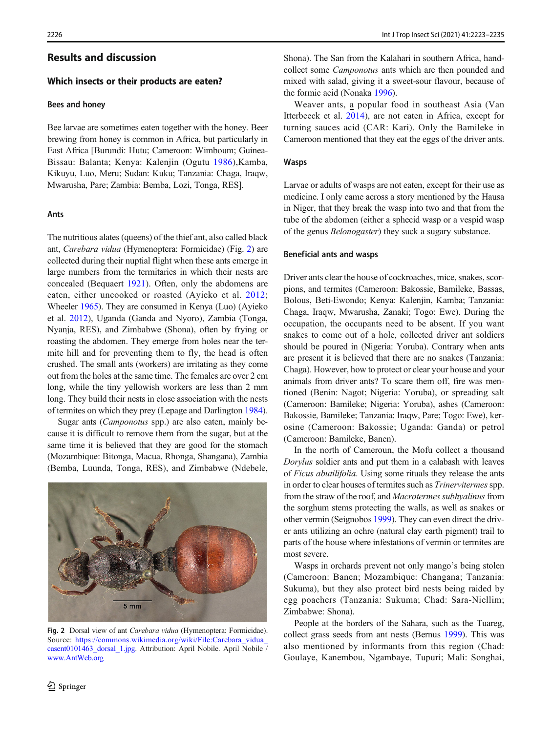# Results and discussion

## Which insects or their products are eaten?

### Bees and honey

Bee larvae are sometimes eaten together with the honey. Beer brewing from honey is common in Africa, but particularly in East Africa [Burundi: Hutu; Cameroon: Wimboum; Guinea-Bissau: Balanta; Kenya: Kalenjin (Ogutu [1986\)](#page-11-0),Kamba, Kikuyu, Luo, Meru; Sudan: Kuku; Tanzania: Chaga, Iraqw, Mwarusha, Pare; Zambia: Bemba, Lozi, Tonga, RES].

#### Ants

The nutritious alates (queens) of the thief ant, also called black ant, Carebara vidua (Hymenoptera: Formicidae) (Fig. 2) are collected during their nuptial flight when these ants emerge in large numbers from the termitaries in which their nests are concealed (Bequaert [1921](#page-10-0)). Often, only the abdomens are eaten, either uncooked or roasted (Ayieko et al. [2012](#page-10-0); Wheeler [1965](#page-12-0)). They are consumed in Kenya (Luo) (Ayieko et al. [2012\)](#page-10-0), Uganda (Ganda and Nyoro), Zambia (Tonga, Nyanja, RES), and Zimbabwe (Shona), often by frying or roasting the abdomen. They emerge from holes near the termite hill and for preventing them to fly, the head is often crushed. The small ants (workers) are irritating as they come out from the holes at the same time. The females are over 2 cm long, while the tiny yellowish workers are less than 2 mm long. They build their nests in close association with the nests of termites on which they prey (Lepage and Darlington [1984\)](#page-11-0).

Sugar ants (Camponotus spp.) are also eaten, mainly because it is difficult to remove them from the sugar, but at the same time it is believed that they are good for the stomach (Mozambique: Bitonga, Macua, Rhonga, Shangana), Zambia (Bemba, Luunda, Tonga, RES), and Zimbabwe (Ndebele,



Fig. 2 Dorsal view of ant Carebara vidua (Hymenoptera: Formicidae). Source: [https://commons.wikimedia.org/wiki/File:Carebara\\_vidua\\_](https://commons.wikimedia.org/wiki/File:Carebara_vidua_casent0101463_dorsal_1.jpg) [casent0101463\\_dorsal\\_1.jpg.](https://commons.wikimedia.org/wiki/File:Carebara_vidua_casent0101463_dorsal_1.jpg) Attribution: April Nobile. April Nobile / [www.AntWeb.org](http://www.antweb.org)

Shona). The San from the Kalahari in southern Africa, handcollect some Camponotus ants which are then pounded and mixed with salad, giving it a sweet-sour flavour, because of the formic acid (Nonaka [1996](#page-11-0)).

Weaver ants, a popular food in southeast Asia (Van Itterbeeck et al. [2014\)](#page-12-0), are not eaten in Africa, except for turning sauces acid (CAR: Kari). Only the Bamileke in Cameroon mentioned that they eat the eggs of the driver ants.

#### Wasps

Larvae or adults of wasps are not eaten, except for their use as medicine. I only came across a story mentioned by the Hausa in Niger, that they break the wasp into two and that from the tube of the abdomen (either a sphecid wasp or a vespid wasp of the genus Belonogaster) they suck a sugary substance.

### Beneficial ants and wasps

Driver ants clear the house of cockroaches, mice, snakes, scorpions, and termites (Cameroon: Bakossie, Bamileke, Bassas, Bolous, Beti-Ewondo; Kenya: Kalenjin, Kamba; Tanzania: Chaga, Iraqw, Mwarusha, Zanaki; Togo: Ewe). During the occupation, the occupants need to be absent. If you want snakes to come out of a hole, collected driver ant soldiers should be poured in (Nigeria: Yoruba). Contrary when ants are present it is believed that there are no snakes (Tanzania: Chaga). However, how to protect or clear your house and your animals from driver ants? To scare them off, fire was mentioned (Benin: Nagot; Nigeria: Yoruba), or spreading salt (Cameroon: Bamileke; Nigeria: Yoruba), ashes (Cameroon: Bakossie, Bamileke; Tanzania: Iraqw, Pare; Togo: Ewe), kerosine (Cameroon: Bakossie; Uganda: Ganda) or petrol (Cameroon: Bamileke, Banen).

In the north of Cameroun, the Mofu collect a thousand Dorylus soldier ants and put them in a calabash with leaves of Ficus abutilifolia. Using some rituals they release the ants in order to clear houses of termites such as *Trinervitermes* spp. from the straw of the roof, and Macrotermes subhyalinus from the sorghum stems protecting the walls, as well as snakes or other vermin (Seignobos [1999\)](#page-11-0). They can even direct the driver ants utilizing an ochre (natural clay earth pigment) trail to parts of the house where infestations of vermin or termites are most severe.

Wasps in orchards prevent not only mango's being stolen (Cameroon: Banen; Mozambique: Changana; Tanzania: Sukuma), but they also protect bird nests being raided by egg poachers (Tanzania: Sukuma; Chad: Sara-Niellim; Zimbabwe: Shona).

People at the borders of the Sahara, such as the Tuareg, collect grass seeds from ant nests (Bernus [1999\)](#page-10-0). This was also mentioned by informants from this region (Chad: Goulaye, Kanembou, Ngambaye, Tupuri; Mali: Songhai,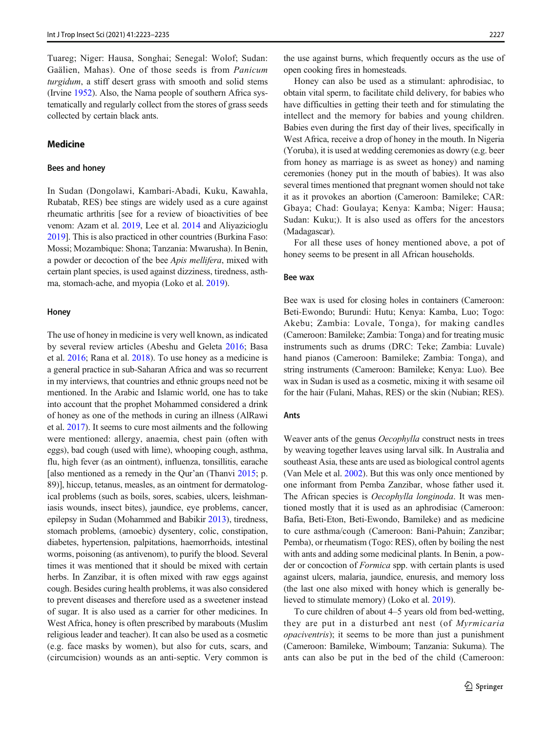Tuareg; Niger: Hausa, Songhai; Senegal: Wolof; Sudan: Gaälien, Mahas). One of those seeds is from Panicum turgidum, a stiff desert grass with smooth and solid stems (Irvine [1952](#page-11-0)). Also, the Nama people of southern Africa systematically and regularly collect from the stores of grass seeds collected by certain black ants.

## Medicine

#### Bees and honey

In Sudan (Dongolawi, Kambari-Abadi, Kuku, Kawahla, Rubatab, RES) bee stings are widely used as a cure against rheumatic arthritis [see for a review of bioactivities of bee venom: Azam et al. [2019](#page-10-0), Lee et al. [2014](#page-11-0) and Aliyazicioglu [2019\]](#page-10-0). This is also practiced in other countries (Burkina Faso: Mossi; Mozambique: Shona; Tanzania: Mwarusha). In Benin, a powder or decoction of the bee Apis mellifera, mixed with certain plant species, is used against dizziness, tiredness, asthma, stomach-ache, and myopia (Loko et al. [2019](#page-11-0)).

#### **Honey**

The use of honey in medicine is very well known, as indicated by several review articles (Abeshu and Geleta [2016](#page-10-0); Basa et al. [2016](#page-10-0); Rana et al. [2018\)](#page-11-0). To use honey as a medicine is a general practice in sub-Saharan Africa and was so recurrent in my interviews, that countries and ethnic groups need not be mentioned. In the Arabic and Islamic world, one has to take into account that the prophet Mohammed considered a drink of honey as one of the methods in curing an illness (AlRawi et al. [2017\)](#page-10-0). It seems to cure most ailments and the following were mentioned: allergy, anaemia, chest pain (often with eggs), bad cough (used with lime), whooping cough, asthma, flu, high fever (as an ointment), influenza, tonsillitis, earache [also mentioned as a remedy in the Qur'an (Thanvi [2015](#page-12-0); p. 89)], hiccup, tetanus, measles, as an ointment for dermatological problems (such as boils, sores, scabies, ulcers, leishmaniasis wounds, insect bites), jaundice, eye problems, cancer, epilepsy in Sudan (Mohammed and Babikir [2013](#page-11-0)), tiredness, stomach problems, (amoebic) dysentery, colic, constipation, diabetes, hypertension, palpitations, haemorrhoids, intestinal worms, poisoning (as antivenom), to purify the blood. Several times it was mentioned that it should be mixed with certain herbs. In Zanzibar, it is often mixed with raw eggs against cough. Besides curing health problems, it was also considered to prevent diseases and therefore used as a sweetener instead of sugar. It is also used as a carrier for other medicines. In West Africa, honey is often prescribed by marabouts (Muslim religious leader and teacher). It can also be used as a cosmetic (e.g. face masks by women), but also for cuts, scars, and (circumcision) wounds as an anti-septic. Very common is the use against burns, which frequently occurs as the use of open cooking fires in homesteads.

Honey can also be used as a stimulant: aphrodisiac, to obtain vital sperm, to facilitate child delivery, for babies who have difficulties in getting their teeth and for stimulating the intellect and the memory for babies and young children. Babies even during the first day of their lives, specifically in West Africa, receive a drop of honey in the mouth. In Nigeria (Yoruba), it is used at wedding ceremonies as dowry (e.g. beer from honey as marriage is as sweet as honey) and naming ceremonies (honey put in the mouth of babies). It was also several times mentioned that pregnant women should not take it as it provokes an abortion (Cameroon: Bamileke; CAR: Gbaya; Chad: Goulaya; Kenya: Kamba; Niger: Hausa; Sudan: Kuku;). It is also used as offers for the ancestors (Madagascar).

For all these uses of honey mentioned above, a pot of honey seems to be present in all African households.

## Bee wax

Bee wax is used for closing holes in containers (Cameroon: Beti-Ewondo; Burundi: Hutu; Kenya: Kamba, Luo; Togo: Akebu; Zambia: Lovale, Tonga), for making candles (Cameroon: Bamileke; Zambia: Tonga) and for treating music instruments such as drums (DRC: Teke; Zambia: Luvale) hand pianos (Cameroon: Bamileke; Zambia: Tonga), and string instruments (Cameroon: Bamileke; Kenya: Luo). Bee wax in Sudan is used as a cosmetic, mixing it with sesame oil for the hair (Fulani, Mahas, RES) or the skin (Nubian; RES).

## Ants

Weaver ants of the genus *Oecophylla* construct nests in trees by weaving together leaves using larval silk. In Australia and southeast Asia, these ants are used as biological control agents (Van Mele et al. [2002](#page-12-0)). But this was only once mentioned by one informant from Pemba Zanzibar, whose father used it. The African species is *Oecophylla longinoda*. It was mentioned mostly that it is used as an aphrodisiac (Cameroon: Bafia, Beti-Eton, Beti-Ewondo, Bamileke) and as medicine to cure asthma/cough (Cameroon: Bani-Pahuin; Zanzibar; Pemba), or rheumatism (Togo: RES), often by boiling the nest with ants and adding some medicinal plants. In Benin, a powder or concoction of Formica spp. with certain plants is used against ulcers, malaria, jaundice, enuresis, and memory loss (the last one also mixed with honey which is generally believed to stimulate memory) (Loko et al. [2019](#page-11-0)).

To cure children of about 4–5 years old from bed-wetting, they are put in a disturbed ant nest (of Myrmicaria opaciventris); it seems to be more than just a punishment (Cameroon: Bamileke, Wimboum; Tanzania: Sukuma). The ants can also be put in the bed of the child (Cameroon: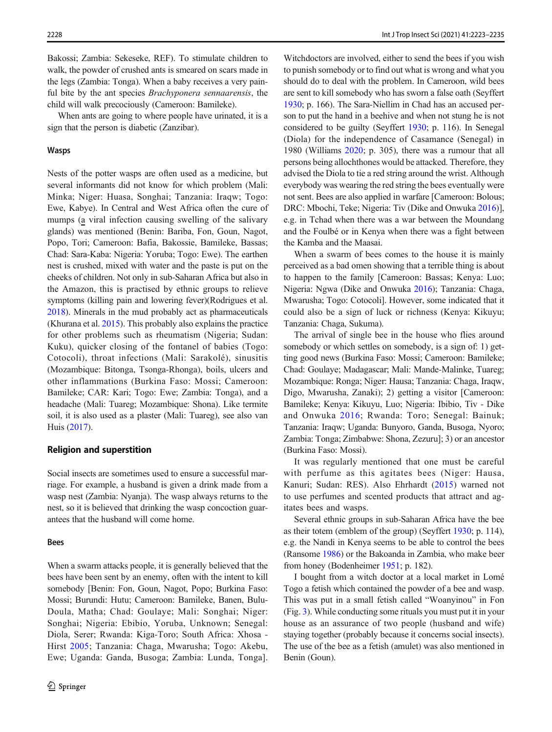Bakossi; Zambia: Sekeseke, REF). To stimulate children to walk, the powder of crushed ants is smeared on scars made in the legs (Zambia: Tonga). When a baby receives a very painful bite by the ant species Brachyponera sennaarensis, the child will walk precociously (Cameroon: Bamileke).

When ants are going to where people have urinated, it is a sign that the person is diabetic (Zanzibar).

#### Wasps

Nests of the potter wasps are often used as a medicine, but several informants did not know for which problem (Mali: Minka; Niger: Huasa, Songhai; Tanzania: Iraqw; Togo: Ewe, Kabye). In Central and West Africa often the cure of mumps (a viral infection causing swelling of the salivary glands) was mentioned (Benin: Bariba, Fon, Goun, Nagot, Popo, Tori; Cameroon: Bafia, Bakossie, Bamileke, Bassas; Chad: Sara-Kaba: Nigeria: Yoruba; Togo: Ewe). The earthen nest is crushed, mixed with water and the paste is put on the cheeks of children. Not only in sub-Saharan Africa but also in the Amazon, this is practised by ethnic groups to relieve symptoms (killing pain and lowering fever)(Rodrigues et al. [2018\)](#page-11-0). Minerals in the mud probably act as pharmaceuticals (Khurana et al. [2015\)](#page-11-0). This probably also explains the practice for other problems such as rheumatism (Nigeria; Sudan: Kuku), quicker closing of the fontanel of babies (Togo: Cotocoli), throat infections (Mali: Sarakolé), sinusitis (Mozambique: Bitonga, Tsonga-Rhonga), boils, ulcers and other inflammations (Burkina Faso: Mossi; Cameroon: Bamileke; CAR: Kari; Togo: Ewe; Zambia: Tonga), and a headache (Mali: Tuareg; Mozambique: Shona). Like termite soil, it is also used as a plaster (Mali: Tuareg), see also van Huis [\(2017\)](#page-12-0).

## Religion and superstition

Social insects are sometimes used to ensure a successful marriage. For example, a husband is given a drink made from a wasp nest (Zambia: Nyanja). The wasp always returns to the nest, so it is believed that drinking the wasp concoction guarantees that the husband will come home.

#### Bees

When a swarm attacks people, it is generally believed that the bees have been sent by an enemy, often with the intent to kill somebody [Benin: Fon, Goun, Nagot, Popo; Burkina Faso: Mossi; Burundi: Hutu; Cameroon: Bamileke, Banen, Bulu-Doula, Matha; Chad: Goulaye; Mali: Songhai; Niger: Songhai; Nigeria: Ebibio, Yoruba, Unknown; Senegal: Diola, Serer; Rwanda: Kiga-Toro; South Africa: Xhosa - Hirst [2005](#page-11-0); Tanzania: Chaga, Mwarusha; Togo: Akebu, Ewe; Uganda: Ganda, Busoga; Zambia: Lunda, Tonga].

Witchdoctors are involved, either to send the bees if you wish to punish somebody or to find out what is wrong and what you should do to deal with the problem. In Cameroon, wild bees are sent to kill somebody who has sworn a false oath (Seyffert [1930;](#page-12-0) p. 166). The Sara-Niellim in Chad has an accused person to put the hand in a beehive and when not stung he is not considered to be guilty (Seyffert [1930](#page-12-0); p. 116). In Senegal (Diola) for the independence of Casamance (Senegal) in 1980 (Williams [2020;](#page-12-0) p. 305), there was a rumour that all persons being allochthones would be attacked. Therefore, they advised the Diola to tie a red string around the wrist. Although everybody was wearing the red string the bees eventually were not sent. Bees are also applied in warfare [Cameroon: Bolous; DRC: Mbochi, Teke; Nigeria: Tiv (Dike and Onwuka [2016\)](#page-10-0)], e.g. in Tchad when there was a war between the Moundang and the Foulbé or in Kenya when there was a fight between the Kamba and the Maasai.

When a swarm of bees comes to the house it is mainly perceived as a bad omen showing that a terrible thing is about to happen to the family [Cameroon: Bassas; Kenya: Luo; Nigeria: Ngwa (Dike and Onwuka [2016](#page-10-0)); Tanzania: Chaga, Mwarusha; Togo: Cotocoli]. However, some indicated that it could also be a sign of luck or richness (Kenya: Kikuyu; Tanzania: Chaga, Sukuma).

The arrival of single bee in the house who flies around somebody or which settles on somebody, is a sign of: 1) getting good news (Burkina Faso: Mossi; Cameroon: Bamileke; Chad: Goulaye; Madagascar; Mali: Mande-Malinke, Tuareg; Mozambique: Ronga; Niger: Hausa; Tanzania: Chaga, Iraqw, Digo, Mwarusha, Zanaki); 2) getting a visitor [Cameroon: Bamileke; Kenya: Kikuyu, Luo; Nigeria: Ibibio, Tiv - Dike and Onwuka [2016;](#page-10-0) Rwanda: Toro; Senegal: Bainuk; Tanzania: Iraqw; Uganda: Bunyoro, Ganda, Busoga, Nyoro; Zambia: Tonga; Zimbabwe: Shona, Zezuru]; 3) or an ancestor (Burkina Faso: Mossi).

It was regularly mentioned that one must be careful with perfume as this agitates bees (Niger: Hausa, Kanuri; Sudan: RES). Also Ehrhardt [\(2015\)](#page-11-0) warned not to use perfumes and scented products that attract and agitates bees and wasps.

Several ethnic groups in sub-Saharan Africa have the bee as their totem (emblem of the group) (Seyffert [1930;](#page-12-0) p. 114), e.g. the Nandi in Kenya seems to be able to control the bees (Ransome [1986\)](#page-11-0) or the Bakoanda in Zambia, who make beer from honey (Bodenheimer [1951;](#page-10-0) p. 182).

I bought from a witch doctor at a local market in Lomé Togo a fetish which contained the powder of a bee and wasp. This was put in a small fetish called "Woanyinou" in Fon (Fig. [3](#page-6-0)). While conducting some rituals you must put it in your house as an assurance of two people (husband and wife) staying together (probably because it concerns social insects). The use of the bee as a fetish (amulet) was also mentioned in Benin (Goun).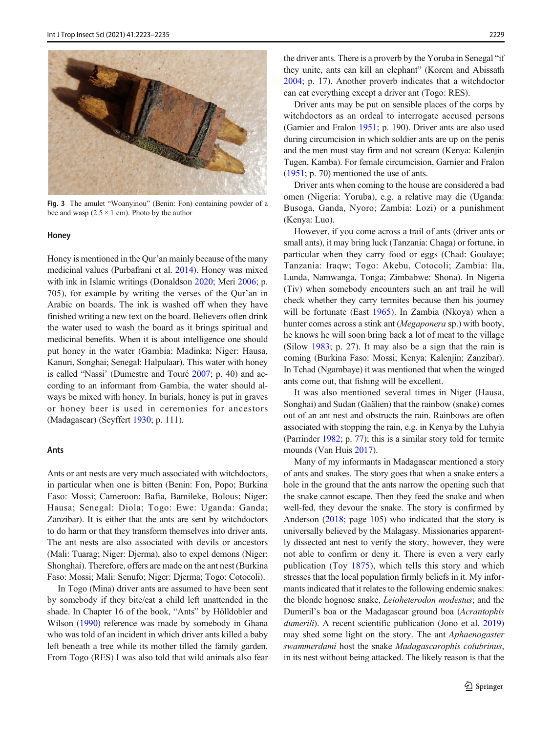<span id="page-6-0"></span>

Fig. 3 The amulet "Woanyinou" (Benin: Fon) containing powder of a bee and wasp  $(2.5 \times 1 \text{ cm})$ . Photo by the author

#### **Honey**

Honey is mentioned in the Qur'an mainly because of the many medicinal values (Purbafrani et al. [2014\)](#page-11-0). Honey was mixed with ink in Islamic writings (Donaldson [2020;](#page-10-0) Meri [2006](#page-11-0); p. 705), for example by writing the verses of the Qur'an in Arabic on boards. The ink is washed off when they have finished writing a new text on the board. Believers often drink the water used to wash the board as it brings spiritual and medicinal benefits. When it is about intelligence one should put honey in the water (Gambia: Madinka; Niger: Hausa, Kanuri, Songhai; Senegal: Halpulaar). This water with honey is called "Nassi' (Dumestre and Touré [2007;](#page-10-0) p. 40) and according to an informant from Gambia, the water should always be mixed with honey. In burials, honey ìs put in graves or honey beer is used in ceremonies for ancestors (Madagascar) (Seyffert [1930;](#page-12-0) p. 111).

## Ants

Ants or ant nests are very much associated with witchdoctors, in particular when one is bitten (Benin: Fon, Popo; Burkina Faso: Mossi; Cameroon: Bafia, Bamileke, Bolous; Niger: Hausa; Senegal: Diola; Togo: Ewe: Uganda: Ganda; Zanzibar). It is either that the ants are sent by witchdoctors to do harm or that they transform themselves into driver ants. The ant nests are also associated with devils or ancestors (Mali: Tuarag; Niger: Djerma), also to expel demons (Niger: Shonghai). Therefore, offers are made on the ant nest (Burkina Faso: Mossi; Mali: Senufo; Niger: Djerma; Togo: Cotocoli).

In Togo (Mina) driver ants are assumed to have been sent by somebody if they bite/eat a child left unattended in the shade. In Chapter 16 of the book, "Ants" by Hölldobler and Wilson ([1990](#page-11-0)) reference was made by somebody in Ghana who was told of an incident in which driver ants killed a baby left beneath a tree while its mother tilled the family garden. From Togo (RES) I was also told that wild animals also fear the driver ants. There is a proverb by the Yoruba in Senegal "if they unite, ants can kill an elephant" (Korem and Abissath [2004;](#page-11-0) p. 17). Another proverb indicates that a witchdoctor can eat everything except a driver ant (Togo: RES).

Driver ants may be put on sensible places of the corps by witchdoctors as an ordeal to interrogate accused persons (Garnier and Fralon [1951;](#page-11-0) p. 190). Driver ants are also used during circumcision in which soldier ants are up on the penis and the men must stay firm and not scream (Kenya: Kalenjin Tugen, Kamba). For female circumcision, Garnier and Fralon [\(1951;](#page-11-0) p. 70) mentioned the use of ants.

Driver ants when coming to the house are considered a bad omen (Nigeria: Yoruba), e.g. a relative may die (Uganda: Busoga, Ganda, Nyoro; Zambia: Lozi) or a punishment (Kenya: Luo).

However, if you come across a trail of ants (driver ants or small ants), it may bring luck (Tanzania: Chaga) or fortune, in particular when they carry food or eggs (Chad: Goulaye; Tanzania: Iraqw; Togo: Akebu, Cotocoli; Zambia: Ila, Lunda, Namwanga, Tonga; Zimbabwe: Shona). In Nigeria (Tiv) when somebody encounters such an ant trail he will check whether they carry termites because then his journey will be fortunate (East [1965](#page-11-0)). In Zambia (Nkoya) when a hunter comes across a stink ant (*Megaponera* sp.) with booty, he knows he will soon bring back a lot of meat to the village (Silow [1983;](#page-12-0) p. 27). It may also be a sign that the rain is coming (Burkina Faso: Mossi; Kenya: Kalenjin; Zanzibar). In Tchad (Ngambaye) it was mentioned that when the winged ants come out, that fishing will be excellent.

It was also mentioned several times in Niger (Hausa, Songhai) and Sudan (Gaälien) that the rainbow (snake) comes out of an ant nest and obstructs the rain. Rainbows are often associated with stopping the rain, e.g. in Kenya by the Luhyia (Parrinder [1982](#page-11-0); p. 77); this is a similar story told for termite mounds (Van Huis [2017](#page-12-0)).

Many of my informants in Madagascar mentioned a story of ants and snakes. The story goes that when a snake enters a hole in the ground that the ants narrow the opening such that the snake cannot escape. Then they feed the snake and when well-fed, they devour the snake. The story is confirmed by Anderson [\(2018;](#page-10-0) page 105) who indicated that the story is universally believed by the Malagasy. Missionaries apparently dissected ant nest to verify the story, however, they were not able to confirm or deny it. There is even a very early publication (Toy [1875](#page-12-0)), which tells this story and which stresses that the local population firmly beliefs in it. My informants indicated that it relates to the following endemic snakes: the blonde hognose snake, Leioheterodon modestus; and the Dumeril's boa or the Madagascar ground boa (Acrantophis dumerili). A recent scientific publication (Jono et al. [2019](#page-11-0)) may shed some light on the story. The ant Aphaenogaster swammerdami host the snake Madagascarophis colubrinus, in its nest without being attacked. The likely reason is that the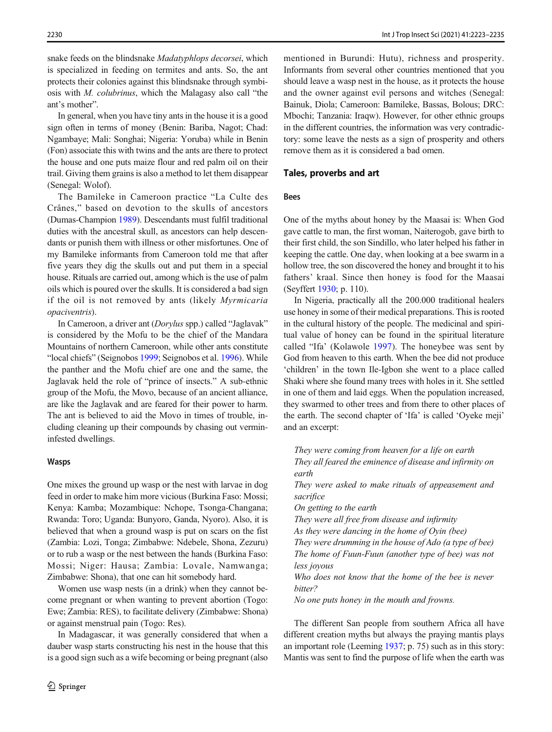snake feeds on the blindsnake Madatyphlops decorsei, which is specialized in feeding on termites and ants. So, the ant protects their colonies against this blindsnake through symbiosis with M. colubrinus, which the Malagasy also call "the ant's mother".

In general, when you have tiny ants in the house it is a good sign often in terms of money (Benin: Bariba, Nagot; Chad: Ngambaye; Mali: Songhai; Nigeria: Yoruba) while in Benin (Fon) associate this with twins and the ants are there to protect the house and one puts maize flour and red palm oil on their trail. Giving them grains is also a method to let them disappear (Senegal: Wolof).

The Bamileke in Cameroon practice "La Culte des Crânes," based on devotion to the skulls of ancestors (Dumas-Champion [1989\)](#page-10-0). Descendants must fulfil traditional duties with the ancestral skull, as ancestors can help descendants or punish them with illness or other misfortunes. One of my Bamileke informants from Cameroon told me that after five years they dig the skulls out and put them in a special house. Rituals are carried out, among which is the use of palm oils which is poured over the skulls. It is considered a bad sign if the oil is not removed by ants (likely Myrmicaria opaciventris).

In Cameroon, a driver ant (Dorylus spp.) called "Jaglavak" is considered by the Mofu to be the chief of the Mandara Mountains of northern Cameroon, while other ants constitute "local chiefs" (Seignobos [1999;](#page-11-0) Seignobos et al. [1996\)](#page-11-0). While the panther and the Mofu chief are one and the same, the Jaglavak held the role of "prince of insects." A sub-ethnic group of the Mofu, the Movo, because of an ancient alliance, are like the Jaglavak and are feared for their power to harm. The ant is believed to aid the Movo in times of trouble, including cleaning up their compounds by chasing out vermininfested dwellings.

#### Wasps

One mixes the ground up wasp or the nest with larvae in dog feed in order to make him more vicious (Burkina Faso: Mossi; Kenya: Kamba; Mozambique: Nchope, Tsonga-Changana; Rwanda: Toro; Uganda: Bunyoro, Ganda, Nyoro). Also, it is believed that when a ground wasp is put on scars on the fist (Zambia: Lozi, Tonga; Zimbabwe: Ndebele, Shona, Zezuru) or to rub a wasp or the nest between the hands (Burkina Faso: Mossi; Niger: Hausa; Zambia: Lovale, Namwanga; Zimbabwe: Shona), that one can hit somebody hard.

Women use wasp nests (in a drink) when they cannot become pregnant or when wanting to prevent abortion (Togo: Ewe; Zambia: RES), to facilitate delivery (Zimbabwe: Shona) or against menstrual pain (Togo: Res).

In Madagascar, it was generally considered that when a dauber wasp starts constructing his nest in the house that this is a good sign such as a wife becoming or being pregnant (also mentioned in Burundi: Hutu), richness and prosperity. Informants from several other countries mentioned that you should leave a wasp nest in the house, as it protects the house and the owner against evil persons and witches (Senegal: Bainuk, Diola; Cameroon: Bamileke, Bassas, Bolous; DRC: Mbochi; Tanzania: Iraqw). However, for other ethnic groups in the different countries, the information was very contradictory: some leave the nests as a sign of prosperity and others remove them as it is considered a bad omen.

## Tales, proverbs and art

## Bees

One of the myths about honey by the Maasai is: When God gave cattle to man, the first woman, Naiterogob, gave birth to their first child, the son Sindillo, who later helped his father in keeping the cattle. One day, when looking at a bee swarm in a hollow tree, the son discovered the honey and brought it to his fathers' kraal. Since then honey is food for the Maasai (Seyffert [1930](#page-12-0); p. 110).

In Nigeria, practically all the 200.000 traditional healers use honey in some of their medical preparations. This is rooted in the cultural history of the people. The medicinal and spiritual value of honey can be found in the spiritual literature called "Ifa' (Kolawole [1997\)](#page-11-0). The honeybee was sent by God from heaven to this earth. When the bee did not produce 'children' in the town Ile-Igbon she went to a place called Shaki where she found many trees with holes in it. She settled in one of them and laid eggs. When the population increased, they swarmed to other trees and from there to other places of the earth. The second chapter of 'Ifa' is called 'Oyeke meji' and an excerpt:

They were coming from heaven for a life on earth They all feared the eminence of disease and infirmity on earth They were asked to make rituals of appeasement and sacrifice On getting to the earth They were all free from disease and infirmity As they were dancing in the home of Oyin (bee) They were drumming in the house of Ado (a type of bee) The home of Fuun-Fuun (another type of bee) was not less joyous Who does not know that the home of the bee is never bitter? No one puts honey in the mouth and frowns.

The different San people from southern Africa all have different creation myths but always the praying mantis plays an important role (Leeming [1937;](#page-11-0) p. 75) such as in this story: Mantis was sent to find the purpose of life when the earth was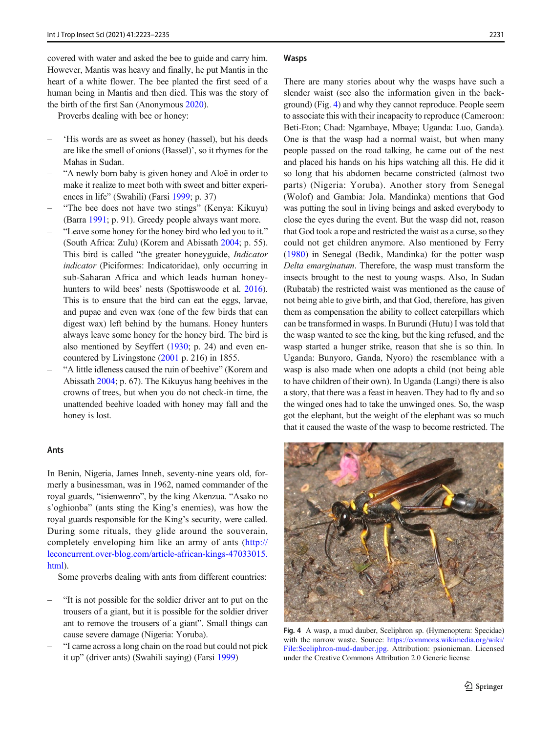covered with water and asked the bee to guide and carry him. However, Mantis was heavy and finally, he put Mantis in the heart of a white flower. The bee planted the first seed of a human being in Mantis and then died. This was the story of the birth of the first San (Anonymous [2020\)](#page-10-0).

Proverbs dealing with bee or honey:

- 'His words are as sweet as honey (hassel), but his deeds are like the smell of onions (Bassel)', so it rhymes for the Mahas in Sudan.
- "A newly born baby is given honey and Aloë in order to make it realize to meet both with sweet and bitter experiences in life" (Swahili) (Farsi [1999](#page-11-0); p. 37)
- "The bee does not have two stings" (Kenya: Kikuyu) (Barra [1991](#page-10-0); p. 91). Greedy people always want more.
- "Leave some honey for the honey bird who led you to it." (South Africa: Zulu) (Korem and Abissath [2004;](#page-11-0) p. 55). This bird is called "the greater honeyguide, Indicator indicator (Piciformes: Indicatoridae), only occurring in sub-Saharan Africa and which leads human honey-hunters to wild bees' nests (Spottiswoode et al. [2016](#page-12-0)). This is to ensure that the bird can eat the eggs, larvae, and pupae and even wax (one of the few birds that can digest wax) left behind by the humans. Honey hunters always leave some honey for the honey bird. The bird is also mentioned by Seyffert [\(1930](#page-12-0); p. 24) and even encountered by Livingstone ([2001](#page-11-0) p. 216) in 1855.
- "A little idleness caused the ruin of beehive" (Korem and Abissath [2004](#page-11-0); p. 67). The Kikuyus hang beehives in the crowns of trees, but when you do not check-in time, the unattended beehive loaded with honey may fall and the honey is lost.

### Ants

In Benin, Nigeria, James Inneh, seventy-nine years old, formerly a businessman, was in 1962, named commander of the royal guards, "isienwenro", by the king Akenzua. "Asako no s'oghionba" (ants sting the King's enemies), was how the royal guards responsible for the King's security, were called. During some rituals, they glide around the souverain, completely enveloping him like an army of ants ([http://](http://leconcurrent.over-blog.com/article-african-kings-47033015.html) [leconcurrent.over-blog.com/article-african-kings-47033015.](http://leconcurrent.over-blog.com/article-african-kings-47033015.html) [html\)](http://leconcurrent.over-blog.com/article-african-kings-47033015.html).

Some proverbs dealing with ants from different countries:

- "It is not possible for the soldier driver ant to put on the trousers of a giant, but it is possible for the soldier driver ant to remove the trousers of a giant". Small things can cause severe damage (Nigeria: Yoruba).
- "I came across a long chain on the road but could not pick it up" (driver ants) (Swahili saying) (Farsi [1999\)](#page-11-0)

#### **Wasps**

There are many stories about why the wasps have such a slender waist (see also the information given in the background) (Fig. 4) and why they cannot reproduce. People seem to associate this with their incapacity to reproduce (Cameroon: Beti-Eton; Chad: Ngambaye, Mbaye; Uganda: Luo, Ganda). One is that the wasp had a normal waist, but when many people passed on the road talking, he came out of the nest and placed his hands on his hips watching all this. He did it so long that his abdomen became constricted (almost two parts) (Nigeria: Yoruba). Another story from Senegal (Wolof) and Gambia: Jola. Mandinka) mentions that God was putting the soul in living beings and asked everybody to close the eyes during the event. But the wasp did not, reason that God took a rope and restricted the waist as a curse, so they could not get children anymore. Also mentioned by Ferry [\(1980\)](#page-11-0) in Senegal (Bedik, Mandinka) for the potter wasp Delta emarginatum. Therefore, the wasp must transform the insects brought to the nest to young wasps. Also, In Sudan (Rubatab) the restricted waist was mentioned as the cause of not being able to give birth, and that God, therefore, has given them as compensation the ability to collect caterpillars which can be transformed in wasps. In Burundi (Hutu) I was told that the wasp wanted to see the king, but the king refused, and the wasp started a hunger strike, reason that she is so thin. In Uganda: Bunyoro, Ganda, Nyoro) the resemblance with a wasp is also made when one adopts a child (not being able to have children of their own). In Uganda (Langi) there is also a story, that there was a feast in heaven. They had to fly and so the winged ones had to take the unwinged ones. So, the wasp got the elephant, but the weight of the elephant was so much that it caused the waste of the wasp to become restricted. The



Fig. 4 A wasp, a mud dauber, Sceliphron sp. (Hymenoptera: Specidae) with the narrow waste. Source: [https://commons.wikimedia.org/wiki/](https://commons.wikimedia.org/wiki/File:Sceliphron-mud-dauber.jpg) [File:Sceliphron-mud-dauber.jpg.](https://commons.wikimedia.org/wiki/File:Sceliphron-mud-dauber.jpg) Attribution: psionicman. Licensed under the Creative Commons Attribution 2.0 Generic license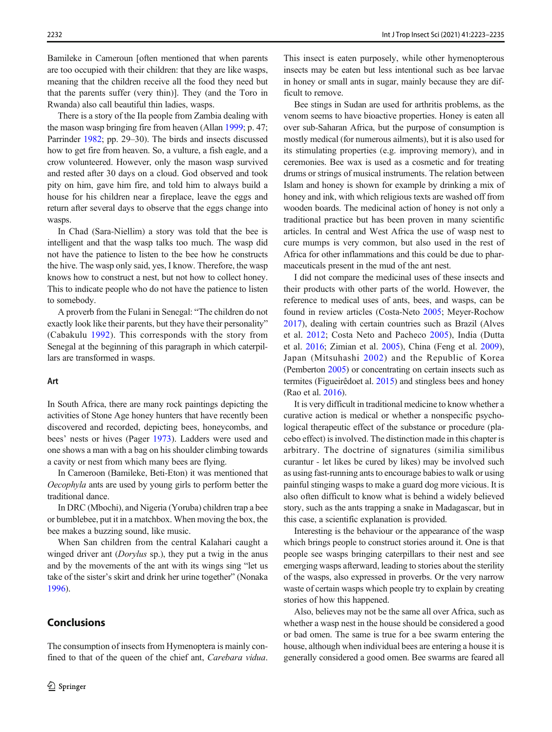Bamileke in Cameroun [often mentioned that when parents are too occupied with their children: that they are like wasps, meaning that the children receive all the food they need but that the parents suffer (very thin)]. They (and the Toro in Rwanda) also call beautiful thin ladies, wasps.

There is a story of the Ila people from Zambia dealing with the mason wasp bringing fire from heaven (Allan [1999](#page-10-0); p. 47; Parrinder [1982;](#page-11-0) pp. 29–30). The birds and insects discussed how to get fire from heaven. So, a vulture, a fish eagle, and a crow volunteered. However, only the mason wasp survived and rested after 30 days on a cloud. God observed and took pity on him, gave him fire, and told him to always build a house for his children near a fireplace, leave the eggs and return after several days to observe that the eggs change into wasps.

In Chad (Sara-Niellim) a story was told that the bee is intelligent and that the wasp talks too much. The wasp did not have the patience to listen to the bee how he constructs the hive. The wasp only said, yes, I know. Therefore, the wasp knows how to construct a nest, but not how to collect honey. This to indicate people who do not have the patience to listen to somebody.

A proverb from the Fulani in Senegal: "The children do not exactly look like their parents, but they have their personality" (Cabakulu [1992\)](#page-10-0). This corresponds with the story from Senegal at the beginning of this paragraph in which caterpillars are transformed in wasps.

## Art

In South Africa, there are many rock paintings depicting the activities of Stone Age honey hunters that have recently been discovered and recorded, depicting bees, honeycombs, and bees' nests or hives (Pager [1973\)](#page-11-0). Ladders were used and one shows a man with a bag on his shoulder climbing towards a cavity or nest from which many bees are flying.

In Cameroon (Bamileke, Beti-Eton) it was mentioned that Oecophyla ants are used by young girls to perform better the traditional dance.

In DRC (Mbochi), and Nigeria (Yoruba) children trap a bee or bumblebee, put it in a matchbox. When moving the box, the bee makes a buzzing sound, like music.

When San children from the central Kalahari caught a winged driver ant (*Dorylus* sp.), they put a twig in the anus and by the movements of the ant with its wings sing "let us take of the sister's skirt and drink her urine together" (Nonaka [1996\)](#page-11-0).

# **Conclusions**

The consumption of insects from Hymenoptera is mainly confined to that of the queen of the chief ant, Carebara vidua.

This insect is eaten purposely, while other hymenopterous insects may be eaten but less intentional such as bee larvae in honey or small ants in sugar, mainly because they are difficult to remove.

Bee stings in Sudan are used for arthritis problems, as the venom seems to have bioactive properties. Honey is eaten all over sub-Saharan Africa, but the purpose of consumption is mostly medical (for numerous ailments), but it is also used for its stimulating properties (e.g. improving memory), and in ceremonies. Bee wax is used as a cosmetic and for treating drums or strings of musical instruments. The relation between Islam and honey is shown for example by drinking a mix of honey and ink, with which religious texts are washed off from wooden boards. The medicinal action of honey is not only a traditional practice but has been proven in many scientific articles. In central and West Africa the use of wasp nest to cure mumps is very common, but also used in the rest of Africa for other inflammations and this could be due to pharmaceuticals present in the mud of the ant nest.

I did not compare the medicinal uses of these insects and their products with other parts of the world. However, the reference to medical uses of ants, bees, and wasps, can be found in review articles (Costa-Neto [2005](#page-10-0); Meyer-Rochow [2017\)](#page-11-0), dealing with certain countries such as Brazil (Alves et al. [2012](#page-10-0); Costa Neto and Pacheco [2005](#page-10-0)), India (Dutta et al. [2016;](#page-11-0) Zimian et al. [2005\)](#page-12-0), China (Feng et al. [2009\)](#page-11-0), Japan (Mitsuhashi [2002](#page-11-0)) and the Republic of Korea (Pemberton [2005\)](#page-11-0) or concentrating on certain insects such as termites (Figueirêdoet al. [2015\)](#page-11-0) and stingless bees and honey (Rao et al. [2016\)](#page-11-0).

It is very difficult in traditional medicine to know whether a curative action is medical or whether a nonspecific psychological therapeutic effect of the substance or procedure (placebo effect) is involved. The distinction made in this chapter is arbitrary. The doctrine of signatures (similia similibus curantur - let likes be cured by likes) may be involved such as using fast-running ants to encourage babies to walk or using painful stinging wasps to make a guard dog more vicious. It is also often difficult to know what is behind a widely believed story, such as the ants trapping a snake in Madagascar, but in this case, a scientific explanation is provided.

Interesting is the behaviour or the appearance of the wasp which brings people to construct stories around it. One is that people see wasps bringing caterpillars to their nest and see emerging wasps afterward, leading to stories about the sterility of the wasps, also expressed in proverbs. Or the very narrow waste of certain wasps which people try to explain by creating stories of how this happened.

Also, believes may not be the same all over Africa, such as whether a wasp nest in the house should be considered a good or bad omen. The same is true for a bee swarm entering the house, although when individual bees are entering a house it is generally considered a good omen. Bee swarms are feared all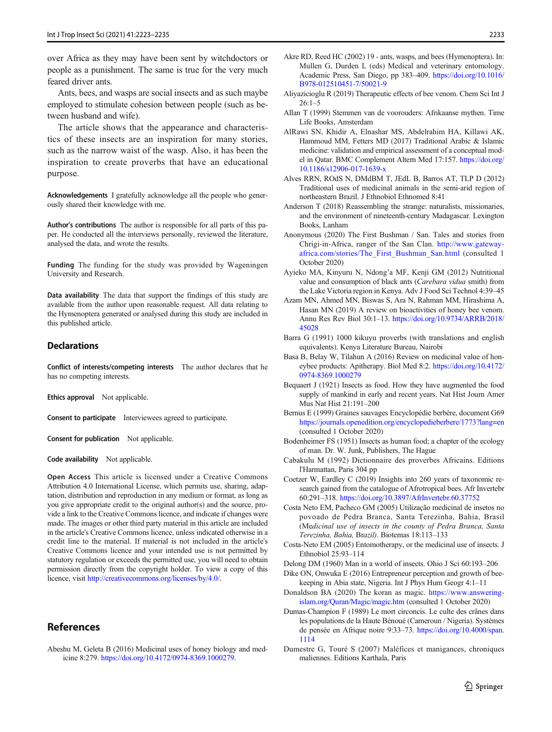<span id="page-10-0"></span>over Africa as they may have been sent by witchdoctors or people as a punishment. The same is true for the very much feared driver ants.

Ants, bees, and wasps are social insects and as such maybe employed to stimulate cohesion between people (such as between husband and wife).

The article shows that the appearance and characteristics of these insects are an inspiration for many stories, such as the narrow waist of the wasp. Also, it has been the inspiration to create proverbs that have an educational purpose.

Acknowledgements I gratefully acknowledge all the people who generously shared their knowledge with me.

Author's contributions The author is responsible for all parts of this paper. He conducted all the interviews personally, reviewed the literature, analysed the data, and wrote the results.

Funding The funding for the study was provided by Wageningen University and Research.

Data availability The data that support the findings of this study are available from the author upon reasonable request. All data relating to the Hymenoptera generated or analysed during this study are included in this published article.

#### **Declarations**

Conflict of interests/competing interests The author declares that he has no competing interests.

Ethics approval Not applicable.

Consent to participate Interviewees agreed to participate.

Consent for publication Not applicable.

Code availability Not applicable.

Open Access This article is licensed under a Creative Commons Attribution 4.0 International License, which permits use, sharing, adaptation, distribution and reproduction in any medium or format, as long as you give appropriate credit to the original author(s) and the source, provide a link to the Creative Commons licence, and indicate if changes were made. The images or other third party material in this article are included in the article's Creative Commons licence, unless indicated otherwise in a credit line to the material. If material is not included in the article's Creative Commons licence and your intended use is not permitted by statutory regulation or exceeds the permitted use, you will need to obtain permission directly from the copyright holder. To view a copy of this licence, visit [http://creativecommons.org/licenses/by/4.0/](https://doi.org/).

## References

Abeshu M, Geleta B (2016) Medicinal uses of honey biology and medicine 8:279. [https://doi.org/10.4172/0974-8369.1000279.](https://doi.org/10.4172/0974-8369.1000279)

- Akre RD, Reed HC (2002) 19 ants, wasps, and bees (Hymenoptera). In: Mullen G, Durden L (eds) Medical and veterinary entomology. Academic Press, San Diego, pp 383–409. [https://doi.org/10.1016/](https://doi.org/10.1016/B978-012510451-7/50021-9) [B978-012510451-7/50021-9](https://doi.org/10.1016/B978-012510451-7/50021-9)
- Aliyazicioglu R (2019) Therapeutic effects of bee venom. Chem Sci Int J  $26:1-5$
- Allan T (1999) Stemmen van de voorouders: Afrikaanse mythen. Time Life Books, Amsterdam
- AlRawi SN, Khidir A, Elnashar MS, Abdelrahim HA, Killawi AK, Hammoud MM, Fetters MD (2017) Traditional Arabic & Islamic medicine: validation and empirical assessment of a conceptual model in Qatar. BMC Complement Altern Med 17:157. [https://doi.org/](https://doi.org/10.1186/s12906-1639) [10.1186/s12906-017-1639-x](https://doi.org/10.1186/s12906-1639)
- Alves RRN, ROdS N, DMdBM T, JEdL B, Barros AT, TLP D (2012) Traditional uses of medicinal animals in the semi-arid region of northeastern Brazil. J Ethnobiol Ethnomed 8:41
- Anderson T (2018) Reassembling the strange: naturalists, missionaries, and the environment of nineteenth-century Madagascar. Lexington Books, Lanham
- Anonymous (2020) The First Bushman / San. Tales and stories from Chrigi-in-Africa, ranger of the San Clan. [http://www.gateway](http://www.gateway-africa.com/stories/The_First_Bushman_San.html)[africa.com/stories/The\\_First\\_Bushman\\_San.html](http://www.gateway-africa.com/stories/The_First_Bushman_San.html) (consulted 1 October 2020)
- Ayieko MA, Kinyuru N, Ndong'a MF, Kenji GM (2012) Nutritional value and consumption of black ants (Carebara vidua smith) from the Lake Victoria region in Kenya. Adv J Food Sci Technol 4:39–45
- Azam MN, Ahmed MN, Biswas S, Ara N, Rahman MM, Hirashima A, Hasan MN (2019) A review on bioactivities of honey bee venom. Annu Res Rev Biol 30:1–13. [https://doi.org/10.9734/ARRB/2018/](https://doi.org/10.9734/ARRB/2018/45028) [45028](https://doi.org/10.9734/ARRB/2018/45028)
- Barra G (1991) 1000 kikuyu proverbs (with translations and english equivalents). Kenya Literature Bureau, Nairobi
- Basa B, Belay W, Tilahun A (2016) Review on medicinal value of honeybee products: Apitherapy. Biol Med 8:2. [https://doi.org/10.4172/](https://doi.org/10.4172/0974-8369.1000279) [0974-8369.1000279](https://doi.org/10.4172/0974-8369.1000279)
- Bequaert J (1921) Insects as food. How they have augmented the food supply of mankind in early and recent years. Nat Hist Journ Amer Mus Nat Hist 21:191–200
- Bernus E (1999) Graines sauvages Encyclopédie berbère, document G69 <https://journals.openedition.org/encyclopedieberbere/1773?lang=en> (consulted 1 October 2020)
- Bodenheimer FS (1951) Insects as human food; a chapter of the ecology of man. Dr. W. Junk, Publishers, The Hague
- Cabakulu M (1992) Dictionnaire des proverbes Africains. Editions l'Harmattan, Paris 304 pp
- Coetzer W, Eardley C (2019) Insights into 260 years of taxonomic research gained from the catalogue of Afrotropical bees. Afr Invertebr 60:291–318. <https://doi.org/10.3897/AfrInvertebr.60.37752>
- Costa Neto EM, Pacheco GM (2005) Utilização medicinal de insetos no povoado de Pedra Branca, Santa Terezinha, Bahia, Brasil (Medicinal use of insects in the county of Pedra Branca, Santa Terezinha, Bahia, Brazil). Biotemas 18:113–133
- Costa-Neto EM (2005) Entomotherapy, or the medicinal use of insects. J Ethnobiol 25:93–114
- Delong DM (1960) Man in a world of insects. Ohio J Sci 60:193–206
- Dike ON, Onwuka E (2016) Entrepreneur perception and growth of beekeeping in Abia state, Nigeria. Int J Phys Hum Geogr 4:1–11
- Donaldson BA (2020) The koran as magic. [https://www.answering](https://www.answering-islam.org/Quran/Magic/magic.htm)[islam.org/Quran/Magic/magic.htm](https://www.answering-islam.org/Quran/Magic/magic.htm) (consulted 1 October 2020)
- Dumas-Champion F (1989) Le mort circoncis. Le culte des crânes dans les populations de la Haute Bénoué (Cameroun / Nigeria). Systèmes de pensée en Afrique noire 9:33–73. [https://doi.org/10.4000/span.](https://doi.org/10.4000/span.1114) [1114](https://doi.org/10.4000/span.1114)
- Dumestre G, Touré S (2007) Maléfices et manigances, chroniques maliennes. Editions Karthala, Paris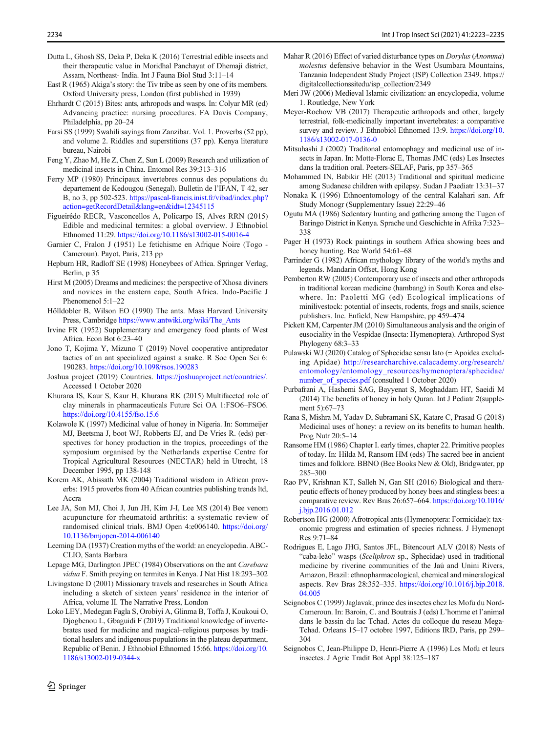- <span id="page-11-0"></span>Dutta L, Ghosh SS, Deka P, Deka K (2016) Terrestrial edible insects and their therapeutic value in Moridhal Panchayat of Dhemaji district, Assam, Northeast- India. Int J Fauna Biol Stud 3:11–14
- East R (1965) Akiga's story: the Tiv tribe as seen by one of its members. Oxford University press, London (first published in 1939)
- Ehrhardt C (2015) Bites: ants, arhropods and wasps. In: Colyar MR (ed) Advancing practice: nursing procedures. FA Davis Company, Philadelphia, pp 20–24
- Farsi SS (1999) Swahili sayings from Zanzibar. Vol. 1. Proverbs (52 pp), and volume 2. Riddles and superstitions (37 pp). Kenya literature bureau, Nairobi
- Feng Y, Zhao M, He Z, Chen Z, Sun L (2009) Research and utilization of medicinal insects in China. Entomol Res 39:313–316
- Ferry MP (1980) Principaux invertebres connus des populations du departement de Kedougou (Senegal). Bulletin de l'IFAN, T 42, ser B, no 3, pp 502-523. [https://pascal-francis.inist.fr/vibad/index.php?](https://pascal-francis.inist.fr/vibad/index.php?action=getRecordDetail&lang=en&idt=12345115) [action=getRecordDetail&lang=en&idt=12345115](https://pascal-francis.inist.fr/vibad/index.php?action=getRecordDetail&lang=en&idt=12345115)
- Figueirêdo RECR, Vasconcellos A, Policarpo IS, Alves RRN (2015) Edible and medicinal termites: a global overview. J Ethnobiol Ethnomed 11:29. <https://doi.org/10.1186/s13002-015-0016-4>
- Garnier C, Fralon J (1951) Le fetichisme en Afrique Noire (Togo Cameroun). Payot, Paris, 213 pp
- Hepburn HR, Radloff SE (1998) Honeybees of Africa. Springer Verlag, Berlin, p 35
- Hirst M (2005) Dreams and medicines: the perspective of Xhosa diviners and novices in the eastern cape, South Africa. Indo-Pacific J Phenomenol 5:1–22
- Hölldobler B, Wilson EO (1990) The ants. Mass Harvard University Press, Cambridge [https://www.antwiki.org/wiki/The\\_Ants](https://www.antwiki.org/wiki/The_Ants)
- Irvine FR (1952) Supplementary and emergency food plants of West Africa. Econ Bot 6:23–40
- Jono T, Kojima Y, Mizuno T (2019) Novel cooperative antipredator tactics of an ant specialized against a snake. R Soc Open Sci 6: 190283. <https://doi.org/10.1098/rsos.190283>
- Joshua project (2019) Countries. [https://joshuaproject.net/countries/.](https://joshuaproject.net/countries/) Accessed 1 October 2020
- Khurana IS, Kaur S, Kaur H, Khurana RK (2015) Multifaceted role of clay minerals in pharmaceuticals Future Sci OA 1:FSO6–FSO6. <https://doi.org/10.4155/fso.15.6>
- Kolawole K (1997) Medicinal value of honey in Nigeria. In: Sommeijer MJ, Beetsma J, boot WJ, Robberts EJ, and De Vries R. (eds) perspectives for honey production in the tropics, proceedings of the symposium organised by the Netherlands expertise Centre for Tropical Agricultural Resources (NECTAR) held in Utrecht, 18 December 1995, pp 138-148
- Korem AK, Abissath MK (2004) Traditional wisdom in African proverbs: 1915 proverbs from 40 African countries publishing trends ltd, Accra
- Lee JA, Son MJ, Choi J, Jun JH, Kim J-I, Lee MS (2014) Bee venom acupuncture for rheumatoid arthritis: a systematic review of randomised clinical trials. BMJ Open 4:e006140. [https://doi.org/](https://doi.org/10.1136/bmjopen-2014-006140) [10.1136/bmjopen-2014-006140](https://doi.org/10.1136/bmjopen-2014-006140)
- Leeming DA (1937) Creation myths of the world: an encyclopedia. ABC-CLIO, Santa Barbara
- Lepage MG, Darlington JPEC (1984) Observations on the ant Carebara vidua F. Smith preying on termites in Kenya. J Nat Hist 18:293–302
- Livingstone D (2001) Missionary travels and researches in South Africa including a sketch of sixteen years' residence in the interior of Africa, volume II. The Narrative Press, London
- Loko LEY, Medegan Fagla S, Orobiyi A, Glinma B, Toffa J, Koukoui O, Djogbenou L, Gbaguidi F (2019) Traditional knowledge of invertebrates used for medicine and magical–religious purposes by traditional healers and indigenous populations in the plateau department, Republic of Benin. J Ethnobiol Ethnomed 15:66. [https://doi.org/10.](https://doi.org/10.1186/s13002-019-0344-x) [1186/s13002-019-0344-x](https://doi.org/10.1186/s13002-019-0344-x)
- Mahar R (2016) Effect of varied disturbance types on Dorylus (Anomma) molestus defensive behavior in the West Usumbara Mountains, Tanzania Independent Study Project (ISP) Collection 2349. https:// digitalcollectionssitedu/isp\_collection/2349
- Meri JW (2006) Medieval Islamic civilization: an encyclopedia, volume 1. Routledge, New York
- Meyer-Rochow VB (2017) Therapeutic arthropods and other, largely terrestrial, folk-medicinally important invertebrates: a comparative survey and review. J Ethnobiol Ethnomed 13:9. [https://doi.org/10.](https://doi.org/10.1186/s13002-017-0136-0) [1186/s13002-017-0136-0](https://doi.org/10.1186/s13002-017-0136-0)
- Mitsuhashi J (2002) Traditonal entomophagy and medicinal use of insects in Japan. In: Motte-Florac E, Thomas JMC (eds) Les Insectes dans la tradition oral. Peeters-SELAF, Paris, pp 357–365
- Mohammed IN, Babikir HE (2013) Traditional and spiritual medicine among Sudanese children with epilepsy. Sudan J Paediatr 13:31–37
- Nonaka K (1996) Ethnoentomology of the central Kalahari san. Afr Study Monogr (Supplementary Issue) 22:29–46
- Ogutu MA (1986) Sedentary hunting and gathering among the Tugen of Baringo District in Kenya. Sprache und Geschichte in Afrika 7:323– 338
- Pager H (1973) Rock paintings in southern Africa showing bees and honey hunting. Bee World 54:61–68
- Parrinder G (1982) African mythology library of the world's myths and legends. Mandarin Offset, Hong Kong
- Pemberton RW (2005) Contemporary use of insects and other arthropods in traditional korean medicine (hambang) in South Korea and elsewhere. In: Paoletti MG (ed) Ecological implications of minilivestock: potential of insects, rodents, frogs and snails, science publishers. Inc. Enfield, New Hampshire, pp 459–474
- Pickett KM, Carpenter JM (2010) Simultaneous analysis and the origin of eusociality in the Vespidae (Insecta: Hymenoptera). Arthropod Syst Phylogeny 68:3–33
- Pulawski WJ (2020) Catalog of Sphecidae sensu lato (= Apoidea excluding Apidae) [http://researcharchive.calacademy.org/research/](http://researcharchive.calacademy.org/research/entomology/entomology_resources/hymenoptera/sphecidae/number_of_species.pdf) [entomology/entomology\\_resources/hymenoptera/sphecidae/](http://researcharchive.calacademy.org/research/entomology/entomology_resources/hymenoptera/sphecidae/number_of_species.pdf) number of species.pdf (consulted 1 October 2020)
- Purbafrani A, Hashemi SAG, Bayyenat S, Moghaddam HT, Saeidi M (2014) The benefits of honey in holy Quran. Int J Pediatr 2(supplement 5):67–73
- Rana S, Mishra M, Yadav D, Subramani SK, Katare C, Prasad G (2018) Medicinal uses of honey: a review on its benefits to human health. Prog Nutr 20:5–14
- Ransome HM (1986) Chapter I. early times, chapter 22. Primitive peoples of today. In: Hilda M, Ransom HM (eds) The sacred bee in ancient times and folklore. BBNO (Bee Books New & Old), Bridgwater, pp 285–300
- Rao PV, Krishnan KT, Salleh N, Gan SH (2016) Biological and therapeutic effects of honey produced by honey bees and stingless bees: a comparative review. Rev Bras 26:657–664. [https://doi.org/10.1016/](https://doi.org/10.1016/j.bjp.2016.01.012) [j.bjp.2016.01.012](https://doi.org/10.1016/j.bjp.2016.01.012)
- Robertson HG (2000) Afrotropical ants (Hymenoptera: Formicidae): taxonomic progress and estimation of species richness. J Hymenopt Res 9:71–84
- Rodrigues E, Lago JHG, Santos JFL, Bitencourt ALV (2018) Nests of "caba-leão" wasps (Sceliphron sp., Sphecidae) used in traditional medicine by riverine communities of the Jaú and Unini Rivers, Amazon, Brazil: ethnopharmacological, chemical and mineralogical aspects. Rev Bras 28:352–335. [https://doi.org/10.1016/j.bjp.2018.](https://doi.org/10.1016/j.bjp.2018.04.005) [04.005](https://doi.org/10.1016/j.bjp.2018.04.005)
- Seignobos C (1999) Jaglavak, prince des insectes chez les Mofu du Nord-Cameroun. In: Baroin, C. and Boutrais J (eds) L'homme et l'animal dans le bassin du lac Tchad. Actes du colloque du reseau Mega-Tchad. Orleans 15–17 octobre 1997, Editions IRD, Paris, pp 299– 304
- Seignobos C, Jean-Philippe D, Henri-Pierre A (1996) Les Mofu et leurs insectes. J Agric Tradit Bot Appl 38:125–187